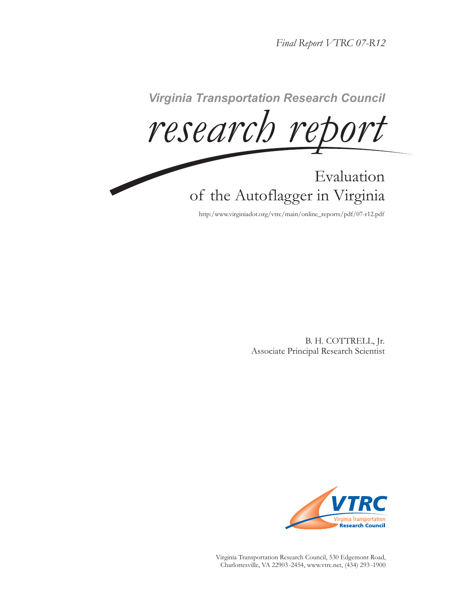*Final Report VTRC 07-R12*

 $research$  report

Evaluation of the Autoflagger in Virginia

http:/www.virginiadot.org/vtrc/main/online\_reports/pdf/07-r12.pdf

B. H. COTTRELL, Jr. Associate Principal Research Scientist



Virginia Transportation Research Council, 530 Edgemont Road, Charlottesville, VA 22903-2454, www.vtrc.net, (434) 293 -1900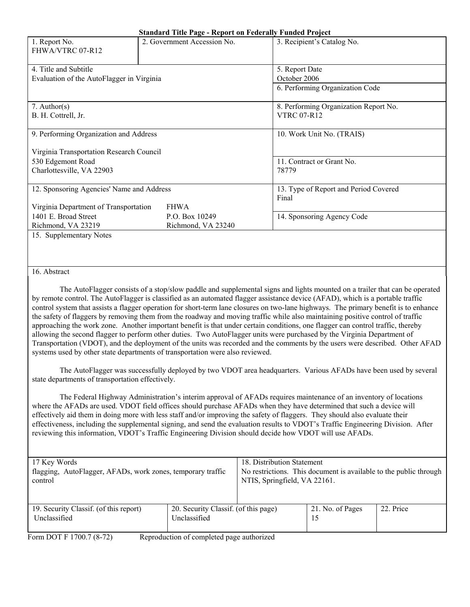|                                           | $\beta$ and $\alpha$ into the $\alpha$ in the state of $\alpha$ is the state of $\alpha$ |                                       |  |  |  |
|-------------------------------------------|------------------------------------------------------------------------------------------|---------------------------------------|--|--|--|
| 1. Report No.<br>FHWA/VTRC 07-R12         | 2. Government Accession No.                                                              | 3. Recipient's Catalog No.            |  |  |  |
| 4. Title and Subtitle                     |                                                                                          | 5. Report Date                        |  |  |  |
| Evaluation of the AutoFlagger in Virginia |                                                                                          | October 2006                          |  |  |  |
|                                           |                                                                                          |                                       |  |  |  |
|                                           |                                                                                          | 6. Performing Organization Code       |  |  |  |
| 7. Author( $s$ )                          |                                                                                          | 8. Performing Organization Report No. |  |  |  |
| B. H. Cottrell, Jr.                       |                                                                                          | <b>VTRC 07-R12</b>                    |  |  |  |
|                                           |                                                                                          |                                       |  |  |  |
| 9. Performing Organization and Address    |                                                                                          | 10. Work Unit No. (TRAIS)             |  |  |  |
| Virginia Transportation Research Council  |                                                                                          |                                       |  |  |  |
| 530 Edgemont Road                         |                                                                                          | 11. Contract or Grant No.             |  |  |  |
| Charlottesville, VA 22903                 |                                                                                          | 78779                                 |  |  |  |
|                                           |                                                                                          |                                       |  |  |  |
| 12. Sponsoring Agencies' Name and Address |                                                                                          | 13. Type of Report and Period Covered |  |  |  |
|                                           |                                                                                          | Final                                 |  |  |  |
| Virginia Department of Transportation     | <b>FHWA</b>                                                                              |                                       |  |  |  |
| 1401 E. Broad Street                      | P.O. Box 10249                                                                           | 14. Sponsoring Agency Code            |  |  |  |
| Richmond, VA 23219                        | Richmond, VA 23240                                                                       |                                       |  |  |  |
| 15. Supplementary Notes                   |                                                                                          |                                       |  |  |  |
|                                           |                                                                                          |                                       |  |  |  |

#### 16. Abstract

The AutoFlagger consists of a stop/slow paddle and supplemental signs and lights mounted on a trailer that can be operated by remote control. The AutoFlagger is classified as an automated flagger assistance device (AFAD), which is a portable traffic control system that assists a flagger operation for short-term lane closures on two-lane highways. The primary benefit is to enhance the safety of flaggers by removing them from the roadway and moving traffic while also maintaining positive control of traffic approaching the work zone. Another important benefit is that under certain conditions, one flagger can control traffic, thereby allowing the second flagger to perform other duties. Two AutoFlagger units were purchased by the Virginia Department of Transportation (VDOT), and the deployment of the units was recorded and the comments by the users were described. Other AFAD systems used by other state departments of transportation were also reviewed.

The AutoFlagger was successfully deployed by two VDOT area headquarters. Various AFADs have been used by several state departments of transportation effectively.

The Federal Highway Administration's interim approval of AFADs requires maintenance of an inventory of locations where the AFADs are used. VDOT field offices should purchase AFADs when they have determined that such a device will effectively aid them in doing more with less staff and/or improving the safety of flaggers. They should also evaluate their effectiveness, including the supplemental signing, and send the evaluation results to VDOT's Traffic Engineering Division. After reviewing this information, VDOT's Traffic Engineering Division should decide how VDOT will use AFADs.

| 17 Key Words                                                | 18. Distribution Statement                                        |  |                        |           |
|-------------------------------------------------------------|-------------------------------------------------------------------|--|------------------------|-----------|
| flagging, AutoFlagger, AFADs, work zones, temporary traffic | No restrictions. This document is available to the public through |  |                        |           |
| control                                                     | NTIS, Springfield, VA 22161.                                      |  |                        |           |
| 19. Security Classif. (of this report)<br>Unclassified      | 20. Security Classif. (of this page)<br>Unclassified              |  | 21. No. of Pages<br>15 | 22. Price |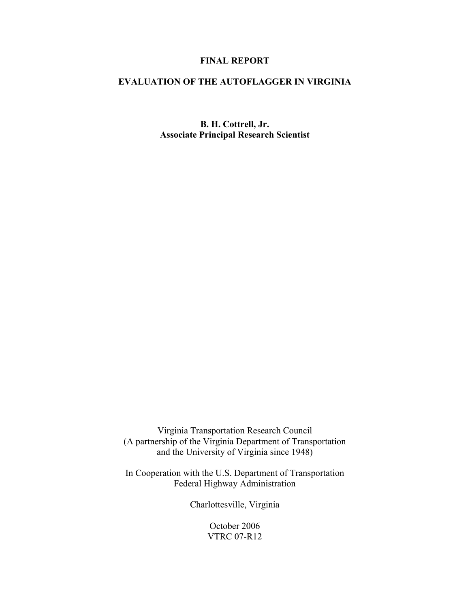## **FINAL REPORT**

# **EVALUATION OF THE AUTOFLAGGER IN VIRGINIA**

**B. H. Cottrell, Jr. Associate Principal Research Scientist** 

Virginia Transportation Research Council (A partnership of the Virginia Department of Transportation and the University of Virginia since 1948)

In Cooperation with the U.S. Department of Transportation Federal Highway Administration

Charlottesville, Virginia

October 2006 VTRC 07-R12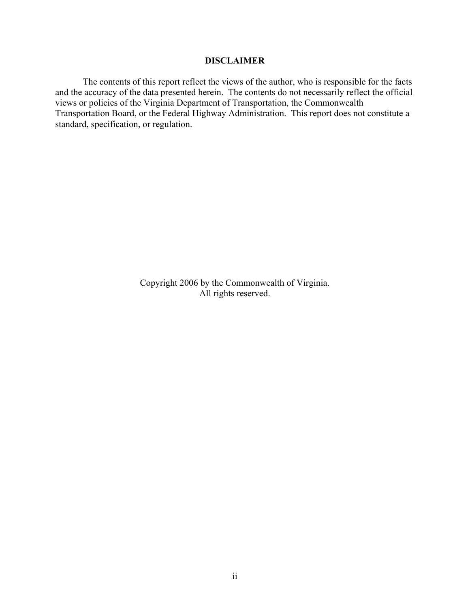# **DISCLAIMER**

The contents of this report reflect the views of the author, who is responsible for the facts and the accuracy of the data presented herein. The contents do not necessarily reflect the official views or policies of the Virginia Department of Transportation, the Commonwealth Transportation Board, or the Federal Highway Administration. This report does not constitute a standard, specification, or regulation.

> Copyright 2006 by the Commonwealth of Virginia. All rights reserved.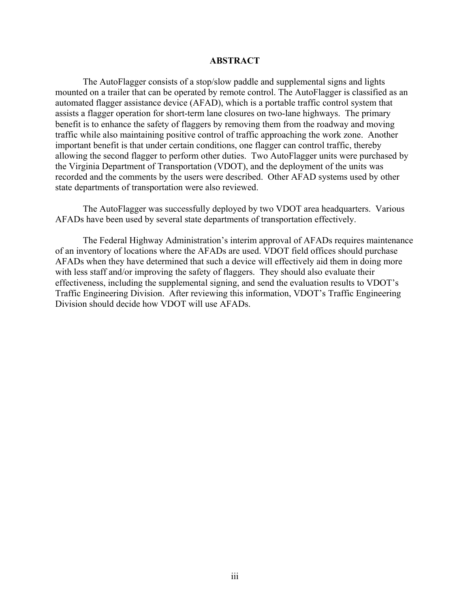### **ABSTRACT**

The AutoFlagger consists of a stop/slow paddle and supplemental signs and lights mounted on a trailer that can be operated by remote control. The AutoFlagger is classified as an automated flagger assistance device (AFAD), which is a portable traffic control system that assists a flagger operation for short-term lane closures on two-lane highways. The primary benefit is to enhance the safety of flaggers by removing them from the roadway and moving traffic while also maintaining positive control of traffic approaching the work zone. Another important benefit is that under certain conditions, one flagger can control traffic, thereby allowing the second flagger to perform other duties. Two AutoFlagger units were purchased by the Virginia Department of Transportation (VDOT), and the deployment of the units was recorded and the comments by the users were described. Other AFAD systems used by other state departments of transportation were also reviewed.

The AutoFlagger was successfully deployed by two VDOT area headquarters. Various AFADs have been used by several state departments of transportation effectively.

The Federal Highway Administration's interim approval of AFADs requires maintenance of an inventory of locations where the AFADs are used. VDOT field offices should purchase AFADs when they have determined that such a device will effectively aid them in doing more with less staff and/or improving the safety of flaggers. They should also evaluate their effectiveness, including the supplemental signing, and send the evaluation results to VDOT's Traffic Engineering Division. After reviewing this information, VDOT's Traffic Engineering Division should decide how VDOT will use AFADs.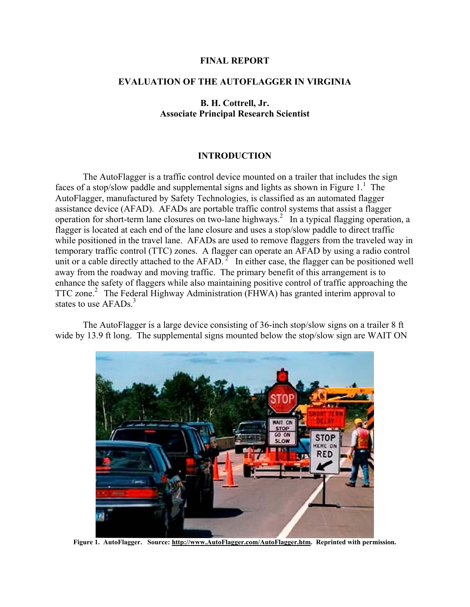#### **FINAL REPORT**

# **EVALUATION OF THE AUTOFLAGGER IN VIRGINIA**

# **B. H. Cottrell, Jr. Associate Principal Research Scientist**

## **INTRODUCTION**

The AutoFlagger is a traffic control device mounted on a trailer that includes the sign faces of a stop/slow paddle and supplemental signs and lights as shown in Figure  $1<sup>1</sup>$ . The AutoFlagger, manufactured by Safety Technologies, is classified as an automated flagger assistance device (AFAD). AFADs are portable traffic control systems that assist a flagger operation for short-term lane closures on two-lane highways.<sup>2</sup> In a typical flagging operation, a flagger is located at each end of the lane closure and uses a stop/slow paddle to direct traffic while positioned in the travel lane. AFADs are used to remove flaggers from the traveled way in temporary traffic control (TTC) zones. A flagger can operate an AFAD by using a radio control unit or a cable directly attached to the  $AFAD<sup>2</sup>$  In either case, the flagger can be positioned well away from the roadway and moving traffic. The primary benefit of this arrangement is to enhance the safety of flaggers while also maintaining positive control of traffic approaching the TTC zone.<sup>2</sup> The Federal Highway Administration (FHWA) has granted interim approval to states to use  $AFADs<sup>3</sup>$ 

The AutoFlagger is a large device consisting of 36-inch stop/slow signs on a trailer 8 ft wide by 13.9 ft long. The supplemental signs mounted below the stop/slow sign are WAIT ON



**Figure 1. AutoFlagger. Source: http://www.AutoFlagger.com/AutoFlagger.htm. Reprinted with permission.**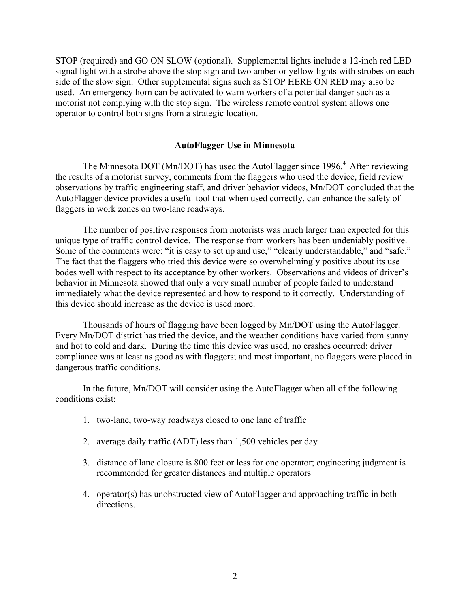STOP (required) and GO ON SLOW (optional). Supplemental lights include a 12-inch red LED signal light with a strobe above the stop sign and two amber or yellow lights with strobes on each side of the slow sign. Other supplemental signs such as STOP HERE ON RED may also be used. An emergency horn can be activated to warn workers of a potential danger such as a motorist not complying with the stop sign. The wireless remote control system allows one operator to control both signs from a strategic location.

# **AutoFlagger Use in Minnesota**

The Minnesota DOT (Mn/DOT) has used the AutoFlagger since 1996.<sup>4</sup> After reviewing the results of a motorist survey, comments from the flaggers who used the device, field review observations by traffic engineering staff, and driver behavior videos, Mn/DOT concluded that the AutoFlagger device provides a useful tool that when used correctly, can enhance the safety of flaggers in work zones on two-lane roadways.

The number of positive responses from motorists was much larger than expected for this unique type of traffic control device. The response from workers has been undeniably positive. Some of the comments were: "it is easy to set up and use," "clearly understandable," and "safe." The fact that the flaggers who tried this device were so overwhelmingly positive about its use bodes well with respect to its acceptance by other workers. Observations and videos of driver's behavior in Minnesota showed that only a very small number of people failed to understand immediately what the device represented and how to respond to it correctly. Understanding of this device should increase as the device is used more.

Thousands of hours of flagging have been logged by Mn/DOT using the AutoFlagger. Every Mn/DOT district has tried the device, and the weather conditions have varied from sunny and hot to cold and dark. During the time this device was used, no crashes occurred; driver compliance was at least as good as with flaggers; and most important, no flaggers were placed in dangerous traffic conditions.

 In the future, Mn/DOT will consider using the AutoFlagger when all of the following conditions exist:

- 1. two-lane, two-way roadways closed to one lane of traffic
- 2. average daily traffic (ADT) less than 1,500 vehicles per day
- 3. distance of lane closure is 800 feet or less for one operator; engineering judgment is recommended for greater distances and multiple operators
- 4. operator(s) has unobstructed view of AutoFlagger and approaching traffic in both directions.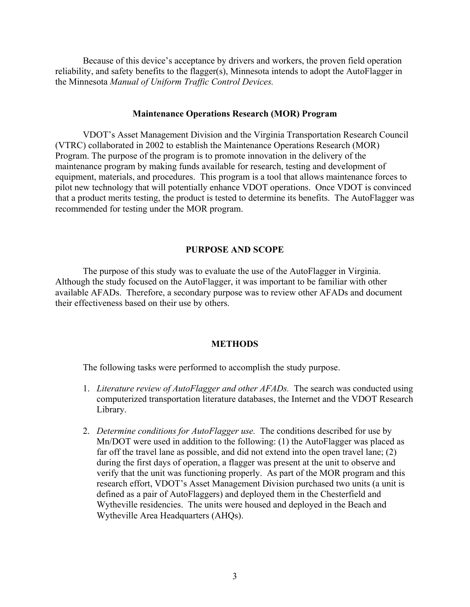Because of this device's acceptance by drivers and workers, the proven field operation reliability, and safety benefits to the flagger(s), Minnesota intends to adopt the AutoFlagger in the Minnesota *Manual of Uniform Traffic Control Devices.* 

#### **Maintenance Operations Research (MOR) Program**

VDOT's Asset Management Division and the Virginia Transportation Research Council (VTRC) collaborated in 2002 to establish the Maintenance Operations Research (MOR) Program. The purpose of the program is to promote innovation in the delivery of the maintenance program by making funds available for research, testing and development of equipment, materials, and procedures. This program is a tool that allows maintenance forces to pilot new technology that will potentially enhance VDOT operations. Once VDOT is convinced that a product merits testing, the product is tested to determine its benefits. The AutoFlagger was recommended for testing under the MOR program.

## **PURPOSE AND SCOPE**

The purpose of this study was to evaluate the use of the AutoFlagger in Virginia. Although the study focused on the AutoFlagger, it was important to be familiar with other available AFADs. Therefore, a secondary purpose was to review other AFADs and document their effectiveness based on their use by others.

## **METHODS**

The following tasks were performed to accomplish the study purpose.

- 1. *Literature review of AutoFlagger and other AFADs.* The search was conducted using computerized transportation literature databases, the Internet and the VDOT Research Library.
- 2. *Determine conditions for AutoFlagger use.* The conditions described for use by Mn/DOT were used in addition to the following: (1) the AutoFlagger was placed as far off the travel lane as possible, and did not extend into the open travel lane; (2) during the first days of operation, a flagger was present at the unit to observe and verify that the unit was functioning properly. As part of the MOR program and this research effort, VDOT's Asset Management Division purchased two units (a unit is defined as a pair of AutoFlaggers) and deployed them in the Chesterfield and Wytheville residencies. The units were housed and deployed in the Beach and Wytheville Area Headquarters (AHQs).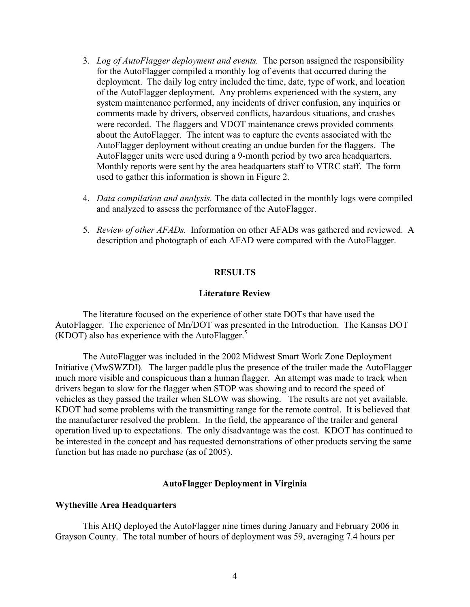- 3. *Log of AutoFlagger deployment and events.* The person assigned the responsibility for the AutoFlagger compiled a monthly log of events that occurred during the deployment. The daily log entry included the time, date, type of work, and location of the AutoFlagger deployment. Any problems experienced with the system, any system maintenance performed, any incidents of driver confusion, any inquiries or comments made by drivers, observed conflicts, hazardous situations, and crashes were recorded. The flaggers and VDOT maintenance crews provided comments about the AutoFlagger. The intent was to capture the events associated with the AutoFlagger deployment without creating an undue burden for the flaggers. The AutoFlagger units were used during a 9-month period by two area headquarters. Monthly reports were sent by the area headquarters staff to VTRC staff. The form used to gather this information is shown in Figure 2.
- 4. *Data compilation and analysis.* The data collected in the monthly logs were compiled and analyzed to assess the performance of the AutoFlagger.
- 5. *Review of other AFADs.* Information on other AFADs was gathered and reviewed. A description and photograph of each AFAD were compared with the AutoFlagger.

## **RESULTS**

### **Literature Review**

The literature focused on the experience of other state DOTs that have used the AutoFlagger. The experience of Mn/DOT was presented in the Introduction. The Kansas DOT (KDOT) also has experience with the AutoFlagger. $5$ 

The AutoFlagger was included in the 2002 Midwest Smart Work Zone Deployment Initiative (MwSWZDI). The larger paddle plus the presence of the trailer made the AutoFlagger much more visible and conspicuous than a human flagger. An attempt was made to track when drivers began to slow for the flagger when STOP was showing and to record the speed of vehicles as they passed the trailer when SLOW was showing. The results are not yet available. KDOT had some problems with the transmitting range for the remote control. It is believed that the manufacturer resolved the problem. In the field, the appearance of the trailer and general operation lived up to expectations. The only disadvantage was the cost. KDOT has continued to be interested in the concept and has requested demonstrations of other products serving the same function but has made no purchase (as of 2005).

## **AutoFlagger Deployment in Virginia**

#### **Wytheville Area Headquarters**

This AHQ deployed the AutoFlagger nine times during January and February 2006 in Grayson County. The total number of hours of deployment was 59, averaging 7.4 hours per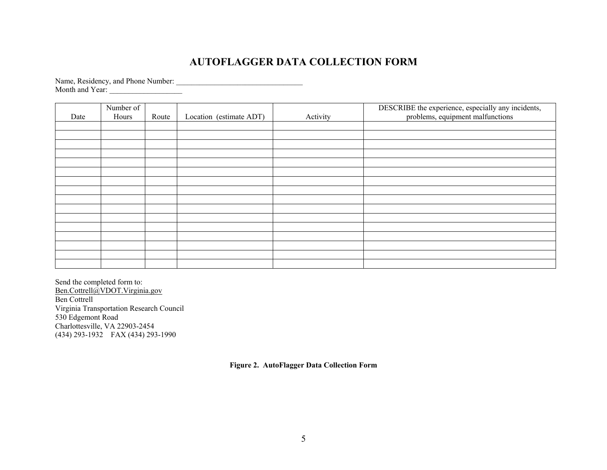# **AUTOFLAGGER DATA COLLECTION FORM**

Name, Residency, and Phone Number: \_\_\_\_\_\_\_\_\_\_\_\_\_\_\_\_\_\_\_\_\_\_\_\_\_\_\_\_\_\_\_\_\_ Month and Year:

| Date | Number of<br>Hours | Route | Location (estimate ADT) | Activity | DESCRIBE the experience, especially any incidents,<br>problems, equipment malfunctions |
|------|--------------------|-------|-------------------------|----------|----------------------------------------------------------------------------------------|
|      |                    |       |                         |          |                                                                                        |
|      |                    |       |                         |          |                                                                                        |
|      |                    |       |                         |          |                                                                                        |
|      |                    |       |                         |          |                                                                                        |
|      |                    |       |                         |          |                                                                                        |
|      |                    |       |                         |          |                                                                                        |
|      |                    |       |                         |          |                                                                                        |
|      |                    |       |                         |          |                                                                                        |
|      |                    |       |                         |          |                                                                                        |
|      |                    |       |                         |          |                                                                                        |
|      |                    |       |                         |          |                                                                                        |
|      |                    |       |                         |          |                                                                                        |
|      |                    |       |                         |          |                                                                                        |
|      |                    |       |                         |          |                                                                                        |
|      |                    |       |                         |          |                                                                                        |
|      |                    |       |                         |          |                                                                                        |

Send the completed form to: Ben.Cottrell@VDOT.Virginia.gov Ben Cottrell Virginia Transportation Research Council 530 Edgemont Road Charlottesville, VA 22903-2454 (434) 293-1932 FAX (434) 293-1990

**Figure 2. AutoFlagger Data Collection Form**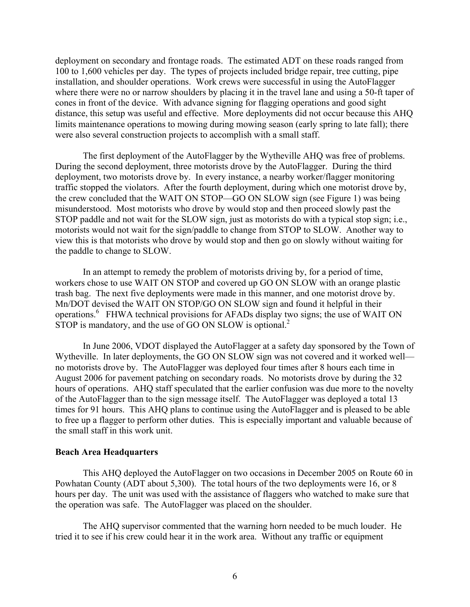deployment on secondary and frontage roads. The estimated ADT on these roads ranged from 100 to 1,600 vehicles per day. The types of projects included bridge repair, tree cutting, pipe installation, and shoulder operations. Work crews were successful in using the AutoFlagger where there were no or narrow shoulders by placing it in the travel lane and using a 50-ft taper of cones in front of the device. With advance signing for flagging operations and good sight distance, this setup was useful and effective. More deployments did not occur because this AHQ limits maintenance operations to mowing during mowing season (early spring to late fall); there were also several construction projects to accomplish with a small staff.

The first deployment of the AutoFlagger by the Wytheville AHQ was free of problems. During the second deployment, three motorists drove by the AutoFlagger. During the third deployment, two motorists drove by. In every instance, a nearby worker/flagger monitoring traffic stopped the violators. After the fourth deployment, during which one motorist drove by, the crew concluded that the WAIT ON STOP—GO ON SLOW sign (see Figure 1) was being misunderstood. Most motorists who drove by would stop and then proceed slowly past the STOP paddle and not wait for the SLOW sign, just as motorists do with a typical stop sign; i.e., motorists would not wait for the sign/paddle to change from STOP to SLOW. Another way to view this is that motorists who drove by would stop and then go on slowly without waiting for the paddle to change to SLOW.

In an attempt to remedy the problem of motorists driving by, for a period of time, workers chose to use WAIT ON STOP and covered up GO ON SLOW with an orange plastic trash bag. The next five deployments were made in this manner, and one motorist drove by. Mn/DOT devised the WAIT ON STOP/GO ON SLOW sign and found it helpful in their operations.<sup>6</sup> FHWA technical provisions for AFADs display two signs; the use of WAIT ON STOP is mandatory, and the use of GO ON SLOW is optional.<sup>2</sup>

 In June 2006, VDOT displayed the AutoFlagger at a safety day sponsored by the Town of Wytheville. In later deployments, the GO ON SLOW sign was not covered and it worked well no motorists drove by. The AutoFlagger was deployed four times after 8 hours each time in August 2006 for pavement patching on secondary roads. No motorists drove by during the 32 hours of operations. AHQ staff speculated that the earlier confusion was due more to the novelty of the AutoFlagger than to the sign message itself. The AutoFlagger was deployed a total 13 times for 91 hours. This AHQ plans to continue using the AutoFlagger and is pleased to be able to free up a flagger to perform other duties. This is especially important and valuable because of the small staff in this work unit.

## **Beach Area Headquarters**

 This AHQ deployed the AutoFlagger on two occasions in December 2005 on Route 60 in Powhatan County (ADT about 5,300). The total hours of the two deployments were 16, or 8 hours per day. The unit was used with the assistance of flaggers who watched to make sure that the operation was safe. The AutoFlagger was placed on the shoulder.

The AHQ supervisor commented that the warning horn needed to be much louder. He tried it to see if his crew could hear it in the work area. Without any traffic or equipment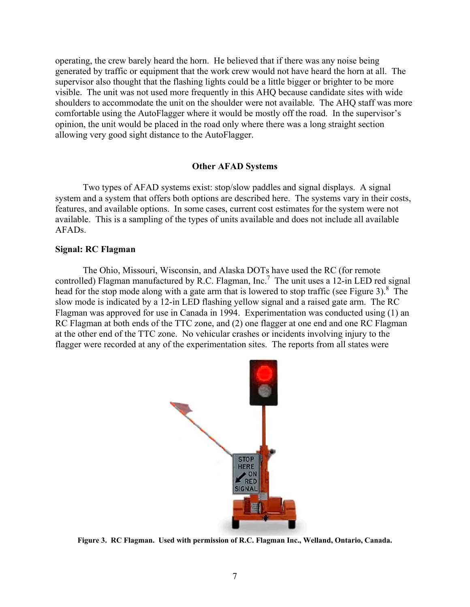operating, the crew barely heard the horn. He believed that if there was any noise being generated by traffic or equipment that the work crew would not have heard the horn at all. The supervisor also thought that the flashing lights could be a little bigger or brighter to be more visible. The unit was not used more frequently in this AHQ because candidate sites with wide shoulders to accommodate the unit on the shoulder were not available. The AHQ staff was more comfortable using the AutoFlagger where it would be mostly off the road. In the supervisor's opinion, the unit would be placed in the road only where there was a long straight section allowing very good sight distance to the AutoFlagger.

### **Other AFAD Systems**

Two types of AFAD systems exist: stop/slow paddles and signal displays. A signal system and a system that offers both options are described here. The systems vary in their costs, features, and available options. In some cases, current cost estimates for the system were not available. This is a sampling of the types of units available and does not include all available AFADs.

#### **Signal: RC Flagman**

The Ohio, Missouri, Wisconsin, and Alaska DOTs have used the RC (for remote controlled) Flagman manufactured by R.C. Flagman, Inc.<sup>7</sup> The unit uses a 12-in LED red signal head for the stop mode along with a gate arm that is lowered to stop traffic (see Figure 3). <sup>8</sup> The slow mode is indicated by a 12-in LED flashing yellow signal and a raised gate arm. The RC Flagman was approved for use in Canada in 1994. Experimentation was conducted using (1) an RC Flagman at both ends of the TTC zone, and (2) one flagger at one end and one RC Flagman at the other end of the TTC zone. No vehicular crashes or incidents involving injury to the flagger were recorded at any of the experimentation sites. The reports from all states were



**Figure 3. RC Flagman. Used with permission of R.C. Flagman Inc., Welland, Ontario, Canada.**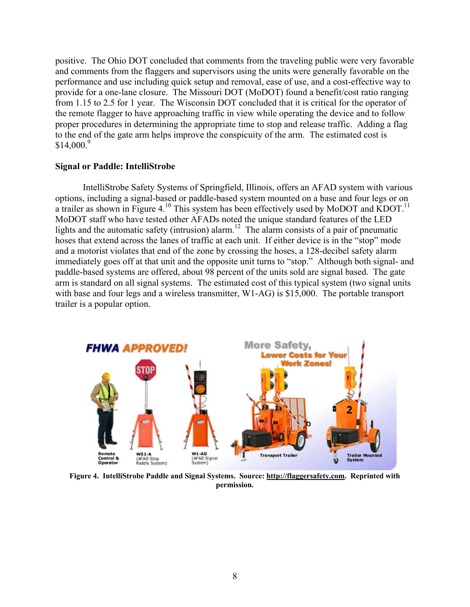positive. The Ohio DOT concluded that comments from the traveling public were very favorable and comments from the flaggers and supervisors using the units were generally favorable on the performance and use including quick setup and removal, ease of use, and a cost-effective way to provide for a one-lane closure. The Missouri DOT (MoDOT) found a benefit/cost ratio ranging from 1.15 to 2.5 for 1 year. The Wisconsin DOT concluded that it is critical for the operator of the remote flagger to have approaching traffic in view while operating the device and to follow proper procedures in determining the appropriate time to stop and release traffic. Adding a flag to the end of the gate arm helps improve the conspicuity of the arm. The estimated cost is  $$14,000.<sup>9</sup>$ 

## **Signal or Paddle: IntelliStrobe**

IntelliStrobe Safety Systems of Springfield, Illinois, offers an AFAD system with various options, including a signal-based or paddle-based system mounted on a base and four legs or on a trailer as shown in Figure 4.<sup>10</sup> This system has been effectively used by MoDOT and KDOT.<sup>11</sup> MoDOT staff who have tested other AFADs noted the unique standard features of the LED lights and the automatic safety (intrusion) alarm.<sup>12</sup> The alarm consists of a pair of pneumatic hoses that extend across the lanes of traffic at each unit. If either device is in the "stop" mode and a motorist violates that end of the zone by crossing the hoses, a 128-decibel safety alarm immediately goes off at that unit and the opposite unit turns to "stop." Although both signal- and paddle-based systems are offered, about 98 percent of the units sold are signal based. The gate arm is standard on all signal systems. The estimated cost of this typical system (two signal units with base and four legs and a wireless transmitter, W1-AG) is \$15,000. The portable transport trailer is a popular option.



**Figure 4. IntelliStrobe Paddle and Signal Systems. Source: http://flaggersafety.com. Reprinted with permission.**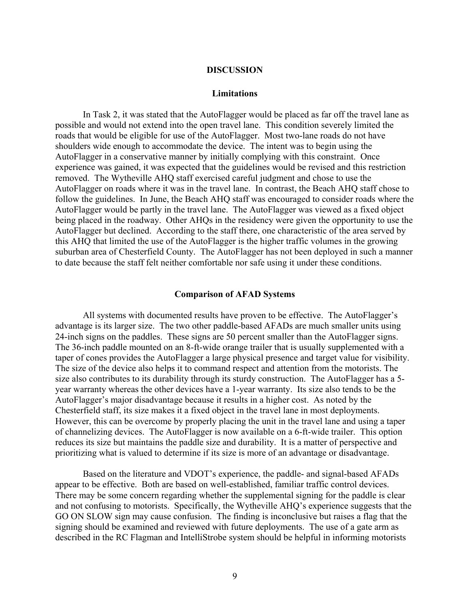#### **DISCUSSION**

#### **Limitations**

 In Task 2, it was stated that the AutoFlagger would be placed as far off the travel lane as possible and would not extend into the open travel lane. This condition severely limited the roads that would be eligible for use of the AutoFlagger. Most two-lane roads do not have shoulders wide enough to accommodate the device. The intent was to begin using the AutoFlagger in a conservative manner by initially complying with this constraint. Once experience was gained, it was expected that the guidelines would be revised and this restriction removed. The Wytheville AHQ staff exercised careful judgment and chose to use the AutoFlagger on roads where it was in the travel lane. In contrast, the Beach AHQ staff chose to follow the guidelines. In June, the Beach AHQ staff was encouraged to consider roads where the AutoFlagger would be partly in the travel lane. The AutoFlagger was viewed as a fixed object being placed in the roadway. Other AHQs in the residency were given the opportunity to use the AutoFlagger but declined. According to the staff there, one characteristic of the area served by this AHQ that limited the use of the AutoFlagger is the higher traffic volumes in the growing suburban area of Chesterfield County. The AutoFlagger has not been deployed in such a manner to date because the staff felt neither comfortable nor safe using it under these conditions.

#### **Comparison of AFAD Systems**

 All systems with documented results have proven to be effective. The AutoFlagger's advantage is its larger size. The two other paddle-based AFADs are much smaller units using 24-inch signs on the paddles. These signs are 50 percent smaller than the AutoFlagger signs. The 36-inch paddle mounted on an 8-ft-wide orange trailer that is usually supplemented with a taper of cones provides the AutoFlagger a large physical presence and target value for visibility. The size of the device also helps it to command respect and attention from the motorists. The size also contributes to its durability through its sturdy construction. The AutoFlagger has a 5 year warranty whereas the other devices have a 1-year warranty. Its size also tends to be the AutoFlagger's major disadvantage because it results in a higher cost. As noted by the Chesterfield staff, its size makes it a fixed object in the travel lane in most deployments. However, this can be overcome by properly placing the unit in the travel lane and using a taper of channelizing devices. The AutoFlagger is now available on a 6-ft-wide trailer. This option reduces its size but maintains the paddle size and durability. It is a matter of perspective and prioritizing what is valued to determine if its size is more of an advantage or disadvantage.

 Based on the literature and VDOT's experience, the paddle- and signal-based AFADs appear to be effective. Both are based on well-established, familiar traffic control devices. There may be some concern regarding whether the supplemental signing for the paddle is clear and not confusing to motorists. Specifically, the Wytheville AHQ's experience suggests that the GO ON SLOW sign may cause confusion. The finding is inconclusive but raises a flag that the signing should be examined and reviewed with future deployments. The use of a gate arm as described in the RC Flagman and IntelliStrobe system should be helpful in informing motorists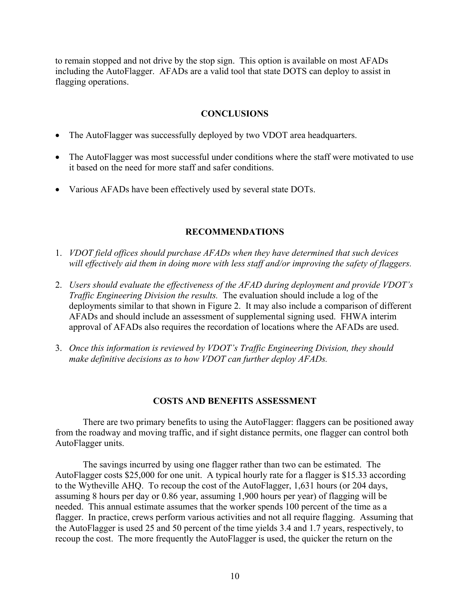to remain stopped and not drive by the stop sign. This option is available on most AFADs including the AutoFlagger. AFADs are a valid tool that state DOTS can deploy to assist in flagging operations.

# **CONCLUSIONS**

- The AutoFlagger was successfully deployed by two VDOT area headquarters.
- The AutoFlagger was most successful under conditions where the staff were motivated to use it based on the need for more staff and safer conditions.
- Various AFADs have been effectively used by several state DOTs.

# **RECOMMENDATIONS**

- 1. *VDOT field offices should purchase AFADs when they have determined that such devices*  will effectively aid them in doing more with less staff and/or improving the safety of flaggers.
- 2. *Users should evaluate the effectiveness of the AFAD during deployment and provide VDOT's Traffic Engineering Division the results.* The evaluation should include a log of the deployments similar to that shown in Figure 2. It may also include a comparison of different AFADs and should include an assessment of supplemental signing used. FHWA interim approval of AFADs also requires the recordation of locations where the AFADs are used.
- 3. *Once this information is reviewed by VDOT's Traffic Engineering Division, they should make definitive decisions as to how VDOT can further deploy AFADs.*

# **COSTS AND BENEFITS ASSESSMENT**

 There are two primary benefits to using the AutoFlagger: flaggers can be positioned away from the roadway and moving traffic, and if sight distance permits, one flagger can control both AutoFlagger units.

The savings incurred by using one flagger rather than two can be estimated. The AutoFlagger costs \$25,000 for one unit. A typical hourly rate for a flagger is \$15.33 according to the Wytheville AHQ. To recoup the cost of the AutoFlagger, 1,631 hours (or 204 days, assuming 8 hours per day or 0.86 year, assuming 1,900 hours per year) of flagging will be needed. This annual estimate assumes that the worker spends 100 percent of the time as a flagger. In practice, crews perform various activities and not all require flagging. Assuming that the AutoFlagger is used 25 and 50 percent of the time yields 3.4 and 1.7 years, respectively, to recoup the cost. The more frequently the AutoFlagger is used, the quicker the return on the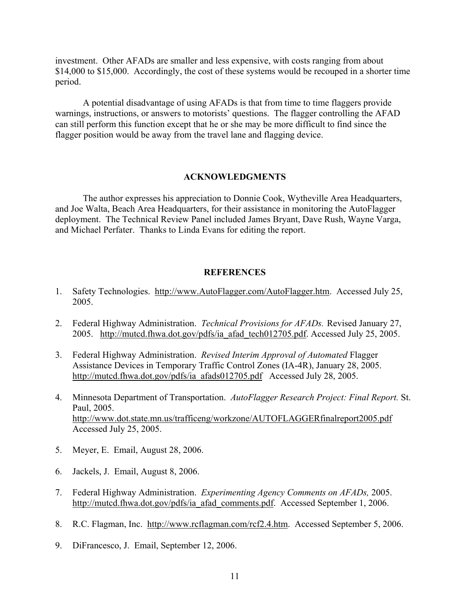investment. Other AFADs are smaller and less expensive, with costs ranging from about \$14,000 to \$15,000. Accordingly, the cost of these systems would be recouped in a shorter time period.

 A potential disadvantage of using AFADs is that from time to time flaggers provide warnings, instructions, or answers to motorists' questions. The flagger controlling the AFAD can still perform this function except that he or she may be more difficult to find since the flagger position would be away from the travel lane and flagging device.

## **ACKNOWLEDGMENTS**

The author expresses his appreciation to Donnie Cook, Wytheville Area Headquarters, and Joe Walta, Beach Area Headquarters, for their assistance in monitoring the AutoFlagger deployment. The Technical Review Panel included James Bryant, Dave Rush, Wayne Varga, and Michael Perfater. Thanks to Linda Evans for editing the report.

## **REFERENCES**

- 1. Safety Technologies. http://www.AutoFlagger.com/AutoFlagger.htm. Accessed July 25, 2005.
- 2. Federal Highway Administration. *Technical Provisions for AFADs.* Revised January 27, 2005. http://mutcd.fhwa.dot.gov/pdfs/ia\_afad\_tech012705.pdf. Accessed July 25, 2005.
- 3. Federal Highway Administration. *Revised Interim Approval of Automated* Flagger Assistance Devices in Temporary Traffic Control Zones (IA-4R), January 28, 2005. http://mutcd.fhwa.dot.gov/pdfs/ia\_afads012705.pdf Accessed July 28, 2005.
- 4. Minnesota Department of Transportation. *AutoFlagger Research Project: Final Report.* St. Paul, 2005. http://www.dot.state.mn.us/trafficeng/workzone/AUTOFLAGGERfinalreport2005.pdf Accessed July 25, 2005.
- 5. Meyer, E. Email, August 28, 2006.
- 6. Jackels, J. Email, August 8, 2006.
- 7. Federal Highway Administration. *Experimenting Agency Comments on AFADs,* 2005. http://mutcd.fhwa.dot.gov/pdfs/ia\_afad\_comments.pdf. Accessed September 1, 2006.
- 8. R.C. Flagman, Inc. http://www.rcflagman.com/rcf2.4.htm. Accessed September 5, 2006.
- 9. DiFrancesco, J. Email, September 12, 2006.